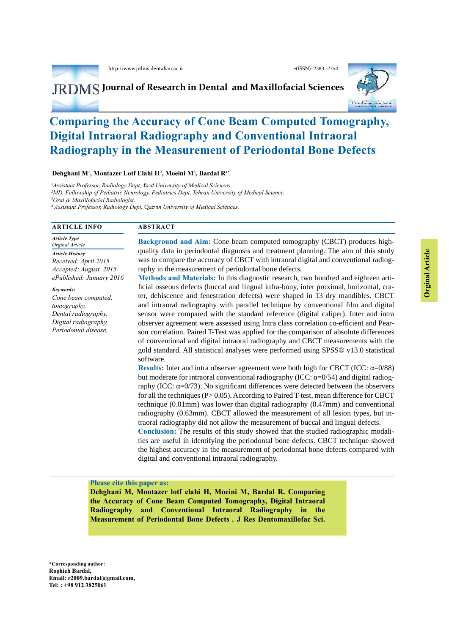http://www.jrdms.dentaliau.ac.ir e(ISSN): 2383 -2754

*M.Dehghani,et al.,* J Res Dentomaxillofac Sci

**JRDMS** Journal of Research in Dental and Maxillofacial Sciences

# **Comparing the Accuracy of Cone Beam Computed Tomography, Digital Intraoral Radiography and Conventional Intraoral Radiography in the Measurement of Periodontal Bone Defects**

**Dehghani M<sup>1</sup> , Montazer Lotf Elahi H<sup>2</sup> , Moeini M<sup>3</sup> , Bardal R4\***

*<sup>1</sup>Assistant Professor, Radiology Dept, Yazd University of Medical Sciences.*

*<sup>2</sup>MD. Fellowship of Pediatric Neurology, Pediatrics Dept, Tehran University of Medical Science.*

*<sup>3</sup>Oral & Maxillofacial Radiologist.*

*4 Assistant Professor, Radiology Dept,* Q*azvin University of Medical Sciences.*

# **ARTICLE INFO ABSTRACT**

*Article Type Orginal Article Article History Received: April 2015 Accepted: August 2015 ePublished: Junuary 2016*

*Keywords: Cone beam computed, tomography, Dental radiography, Digital radiography, Periodontal disease,*

**Background and Aim:** Cone beam computed tomography (CBCT) produces highquality data in periodontal diagnosis and treatment planning. The aim of this study was to compare the accuracy of CBCT with intraoral digital and conventional radiography in the measurement of periodontal bone defects.

**Methods and Materials:** In this diagnostic research, two hundred and eighteen artificial osseous defects (buccal and lingual infra-bony, inter proximal, horizontal, craquality data in periodontal diagnosis and treatment planning. The aim of this study<br>was to compare the accuracy of CBCT with intraoral digital and conventional radiography<br>in the measurement of periodontal bone defects.<br>**M** and intraoral radiography with parallel technique by conventional film and digital sensor were compared with the standard reference (digital caliper). Inter and intra observer agreement were assessed using Intra class correlation co-efficient and Pearson correlation. Paired T-Test was applied for the comparison of absolute differences of conventional and digital intraoral radiography and CBCT measurements with the gold standard. All statistical analyses were performed using SPSS® v13.0 statistical software.

**Results:** Inter and intra observer agreement were both high for CBCT (ICC:  $=0/88$ ) but moderate for intraoral conventional radiography (ICC:  $=0/54$ ) and digital radiography (ICC:  $=0/73$ ). No significant differences were detected between the observers for all the techniques (P> 0.05). According to Paired T-test, mean difference for CBCT technique (0.01mm) was lower than digital radiography (0.47mm) and conventional radiography (0.63mm). CBCT allowed the measurement of all lesion types, but intraoral radiography did not allow the measurement of buccal and lingual defects. **Conclusion:** The results of this study showed that the studied radiographic modali-

ties are useful in identifying the periodontal bone defects. CBCT technique showed the highest accuracy in the measurement of periodontal bone defects compared with digital and conventional intraoral radiography.

### **Please cite this paper as:**

**Dehghani M, Montazer lotf elahi H, Moeini M, Bardal R. Comparing the Accuracy of Cone Beam Computed Tomography, Digital Intraoral Radiography and Conventional Intraoral Radiography in the Measurement of Periodontal Bone Defects . J Res Dentomaxillofac Sci.**

34 Journal of Research in Dental and Maxillofacial Sciences, Vol 1,No 1, Winter 2016 http://www.jrdms. dentaliau.ac.ir **Email: r2009.bardal@gmail.com, \*Corresponding author: Roghieh Bardal, Tel: : +98 912 3825061**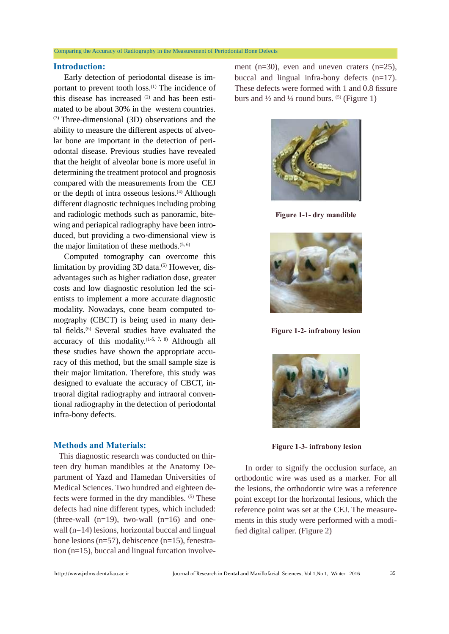### Comparing the Accuracy of Radiography in the Measurement of Periodontal Bone Defects

# **Introduction:**

 Early detection of periodontal disease is important to prevent tooth loss.<sup>(1)</sup> The incidence of this disease has increased  $(2)$  and has been estimated to be about 30% in the western countries. (3) Three-dimensional (3D) observations and the ability to measure the different aspects of alveolar bone are important in the detection of periodontal disease. Previous studies have revealed that the height of alveolar bone is more useful in determining the treatment protocol and prognosis compared with the measurements from the CEJ or the depth of intra osseous lesions.<sup>(4)</sup> Although different diagnostic techniques including probing and radiologic methods such as panoramic, bitewing and periapical radiography have been introduced, but providing a two-dimensional view is the major limitation of these methods. $(5, 6)$ 

 Computed tomography can overcome this limitation by providing  $3D$  data.<sup>(5)</sup> However, disadvantages such as higher radiation dose, greater costs and low diagnostic resolution led the scientists to implement a more accurate diagnostic modality. Nowadays, cone beam computed tomography (CBCT) is being used in many dental fields.<sup>(6)</sup> Several studies have evaluated the accuracy of this modality.<sup> $(1-5, 7, 8)$ </sup> Although all these studies have shown the appropriate accuracy of this method, but the small sample size is their major limitation. Therefore, this study was designed to evaluate the accuracy of CBCT, intraoral digital radiography and intraoral conventional radiography in the detection of periodontal infra-bony defects.

# **Methods and Materials:**

http://www.jrdms.dentaliau.ac.ir Journal of Research in Dental and Maxillofacial Sciences, Vol 1,No 1, Winter 2016 35 This diagnostic research was conducted on thirteen dry human mandibles at the Anatomy Department of Yazd and Hamedan Universities of Medical Sciences. Two hundred and eighteen defects were formed in the dry mandibles. (5) These defects had nine different types, which included: (three-wall  $(n=19)$ , two-wall  $(n=16)$  and onewall (n=14) lesions, horizontal buccal and lingual bone lesions (n=57), dehiscence (n=15), fenestration (n=15), buccal and lingual furcation involve-

ment (n=30), even and uneven craters (n=25), buccal and lingual infra-bony defects (n=17). These defects were formed with 1 and 0.8 fissure burs and  $\frac{1}{2}$  and  $\frac{1}{4}$  round burs. <sup>(5)</sup> (Figure 1)



**Figure 1-1- dry mandible**



**Figure 1-2- infrabony lesion**



 **Figure 1-3- infrabony lesion**

 In order to signify the occlusion surface, an orthodontic wire was used as a marker. For all the lesions, the orthodontic wire was a reference point except for the horizontal lesions, which the reference point was set at the CEJ. The measurements in this study were performed with a modified digital caliper. (Figure 2)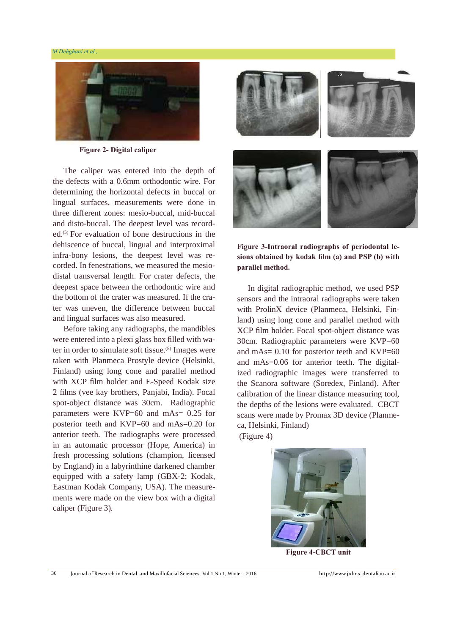#### *M.Dehghani,et al.,*



**Figure 2- Digital caliper**

 The caliper was entered into the depth of the defects with a 0.6mm orthodontic wire. For determining the horizontal defects in buccal or lingual surfaces, measurements were done in three different zones: mesio-buccal, mid-buccal and disto-buccal. The deepest level was recorded.(5) For evaluation of bone destructions in the dehiscence of buccal, lingual and interproximal infra-bony lesions, the deepest level was recorded. In fenestrations, we measured the mesiodistal transversal length. For crater defects, the deepest space between the orthodontic wire and the bottom of the crater was measured. If the crater was uneven, the difference between buccal and lingual surfaces was also measured.

 Before taking any radiographs, the mandibles were entered into a plexi glass box filled with water in order to simulate soft tissue.<sup>(8)</sup> Images were taken with Planmeca Prostyle device (Helsinki, Finland) using long cone and parallel method with XCP film holder and E-Speed Kodak size 2 films (vee kay brothers, Panjabi, India). Focal spot-object distance was 30cm. Radiographic parameters were KVP=60 and mAs= 0.25 for posterior teeth and KVP=60 and mAs=0.20 for anterior teeth. The radiographs were processed in an automatic processor (Hope, America) in fresh processing solutions (champion, licensed by England) in a labyrinthine darkened chamber equipped with a safety lamp (GBX-2; Kodak, Eastman Kodak Company, USA). The measurements were made on the view box with a digital caliper (Figure 3).



**Figure 3-Intraoral radiographs of periodontal lesions obtained by kodak film (a) and PSP (b) with parallel method.**

 In digital radiographic method, we used PSP sensors and the intraoral radiographs were taken with ProlinX device (Planmeca, Helsinki, Finland) using long cone and parallel method with XCP film holder. Focal spot-object distance was 30cm. Radiographic parameters were KVP=60 and mAs= 0.10 for posterior teeth and KVP=60 and mAs=0.06 for anterior teeth. The digitalized radiographic images were transferred to the Scanora software (Soredex, Finland). After calibration of the linear distance measuring tool, the depths of the lesions were evaluated. CBCT scans were made by Promax 3D device (Planmeca, Helsinki, Finland) (Figure 4)



**Figure 4-CBCT unit**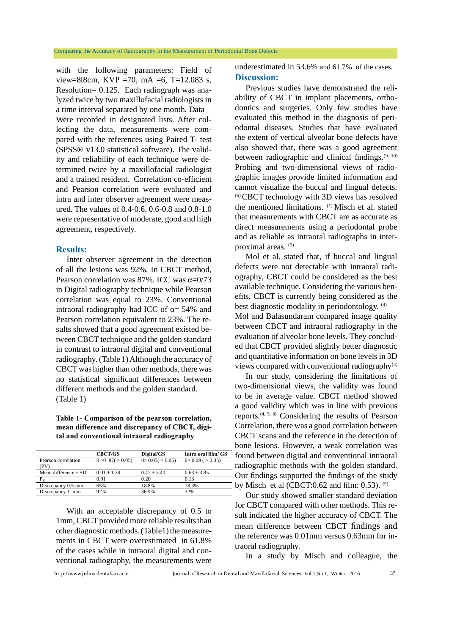with the following parameters: Field of view=8 8cm, KVP =70, mA =6, T=12.083 s, Resolution= 0.125. Each radiograph was analyzed twice by two maxillofacial radiologists in a time interval separated by one month. Data

Were recorded in designated lists. After collecting the data, measurements were compared with the references using Paired T- test (SPSS® v13.0 statistical software). The validity and reliability of each technique were determined twice by a maxillofacial radiologist and a trained resident. Correlation co-efficient and Pearson correlation were evaluated and intra and inter observer agreement were measured. The values of 0.4-0.6, 0.6-0.8 and 0.8-1.0 were representative of moderate, good and high agreement, respectively.

# **Results:**

 Inter observer agreement in the detection of all the lesions was 92%. In CBCT method, Pearson correlation was  $87\%$ . ICC was  $=0/73$ in Digital radiography technique while Pearson correlation was equal to 23%. Conventional intraoral radiography had ICC of  $= 54\%$  and Pearson correlation equivalent to 23%. The results showed that a good agreement existed between CBCT technique and the golden standard in contrast to intraoral digital and conventional radiography. (Table 1) Although the accuracy of CBCT was higher than other methods, there was no statistical significant differences between different methods and the golden standard. (Table 1)

**Table 1- Comparison of the pearson correlation,**

| mean difference and discrepancy of CBCT, digi-<br>tal and conventional intraoral radiography |                         |                         |                         |
|----------------------------------------------------------------------------------------------|-------------------------|-------------------------|-------------------------|
|                                                                                              | <b>CBCT/GS</b>          | Digital/GS              | Intra oral film/ GS     |
| Pearson correlation<br>(PV)                                                                  | $0 > 0.87$ ( $> 0.05$ ) | $0 > 0.05$ ( $> 0.05$ ) | $0 > 0.09$ ( $> 0.05$ ) |
| Mean difference $\pm$ SD                                                                     | $0.01 \pm 1.39$         | $0.47 \pm 3.40$         | $0.63 \pm 3.85$         |
| $P_V$                                                                                        | 0.91                    | 0.20                    | 0.13                    |
| Discrepancy 0.5 mm                                                                           | 65%                     | 18.8%                   | 18.3%                   |
| Discrepancy 1 mm                                                                             | 92%                     | 36.9%                   | 32%                     |

ments in CBC1 were overestimated in 01.8%<br>of the cases while in intraoral digital and con-<br>ventional radiography, the measurements were<br>http://www.jrdms.dentaliau.ac.ir Journal of Research in Dental and Maxillofacial Scien With an acceptable discrepancy of 0.5 to 1mm, CBCT provided more reliable results than other diagnostic methods. (Table1) the measurements in CBCT were overestimated in 61.8% of the cases while in intraoral digital and conventional radiography, the measurements were

underestimated in 53.6% and 61.7% of the cases. **Discussion:**

 Previous studies have demonstrated the reliability of CBCT in implant placements, orthodontics and surgeries. Only few studies have evaluated this method in the diagnosis of periodontal diseases. Studies that have evaluated the extent of vertical alveolar bone defects have also showed that, there was a good agreement between radiographic and clinical findings.<sup>(9, 10)</sup> Probing and two-dimensional views of radiographic images provide limited information and cannot visualize the buccal and lingual defects. (6)CBCT technology with 3D views has resolved the mentioned limitations. (1) Misch et al. stated that measurements with CBCT are as accurate as direct measurements using a periodontal probe and as reliable as intraoral radiographs in interproximal areas. (5)

 Mol et al. stated that, if buccal and lingual defects were not detectable with intraoral radiography, CBCT could be considered as the best available technique. Considering the various benefits, CBCT is currently being considered as the best diagnostic modality in periodontology. (4) Mol and Balasundaram compared image quality between CBCT and intraoral radiography in the evaluation of alveolar bone levels. They concluded that CBCT provided slightly better diagnostic and quantitative information on bone levels in 3D views compared with conventional radiography<sup>(4)</sup>

 In our study, considering the limitations of two-dimensional views, the validity was found to be in average value. CBCT method showed a good validity which was in line with previous reports.(4, 5, 8) Considering the results of Pearson Correlation, there was a good correlation between CBCT scans and the reference in the detection of bone lesions. However, a weak correlation was found between digital and conventional intraoral radiographic methods with the golden standard. Our findings supported the findings of the study by Misch et al (CBCT: $0.62$  and film:  $0.53$ ). <sup>(5)</sup>

 Our study showed smaller standard deviation for CBCT compared with other methods. This result indicated the higher accuracy of CBCT. The mean difference between CBCT findings and the reference was 0.01mm versus 0.63mm for intraoral radiography.

In a study by Misch and colleague, the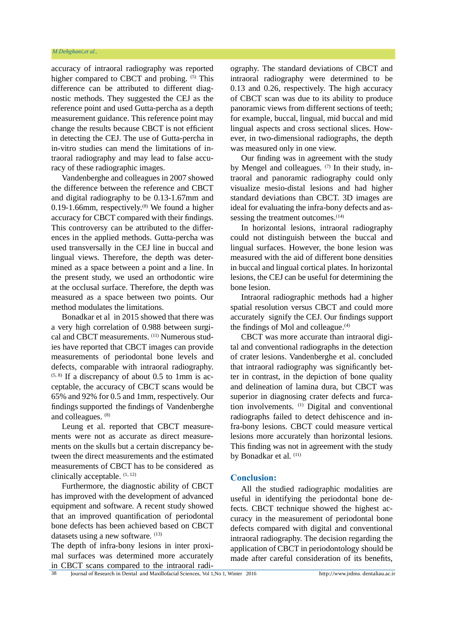accuracy of intraoral radiography was reported higher compared to CBCT and probing. <sup>(5)</sup> This difference can be attributed to different diagnostic methods. They suggested the CEJ as the reference point and used Gutta-percha as a depth measurement guidance. This reference point may change the results because CBCT is not efficient in detecting the CEJ. The use of Gutta-percha in in-vitro studies can mend the limitations of intraoral radiography and may lead to false accuracy of these radiographic images.

 Vandenberghe and colleagues in 2007 showed the difference between the reference and CBCT and digital radiography to be 0.13-1.67mm and 0.19-1.66mm, respectively. $(8)$  We found a higher accuracy for CBCT compared with their findings. This controversy can be attributed to the differences in the applied methods. Gutta-percha was used transversally in the CEJ line in buccal and lingual views. Therefore, the depth was determined as a space between a point and a line. In the present study, we used an orthodontic wire at the occlusal surface. Therefore, the depth was measured as a space between two points. Our method modulates the limitations.

 Bonadkar et al in 2015 showed that there was a very high correlation of 0.988 between surgical and CBCT measurements. <sup>(11)</sup> Numerous studies have reported that CBCT images can provide measurements of periodontal bone levels and defects, comparable with intraoral radiography.  $(5, 8)$  If a discrepancy of about 0.5 to 1mm is acceptable, the accuracy of CBCT scans would be 65% and 92% for 0.5 and 1mm, respectively. Our findings supported the findings of Vandenberghe and colleagues. (8)

 Leung et al. reported that CBCT measurements were not as accurate as direct measurements on the skulls but a certain discrepancy between the direct measurements and the estimated measurements of CBCT has to be considered as clinically acceptable.  $(1, 12)$ 

 Furthermore, the diagnostic ability of CBCT has improved with the development of advanced equipment and software. A recent study showed that an improved quantification of periodontal bone defects has been achieved based on CBCT datasets using a new software. (13)

The depth of infra-bony lesions in inter proximal surfaces was determined more accurately in CBCT scans compared to the intraoral radiography. The standard deviations of CBCT and intraoral radiography were determined to be 0.13 and 0.26, respectively. The high accuracy of CBCT scan was due to its ability to produce panoramic views from different sections of teeth; for example, buccal, lingual, mid buccal and mid lingual aspects and cross sectional slices. However, in two-dimensional radiographs, the depth was measured only in one view.

 Our finding was in agreement with the study by Mengel and colleagues.  $(7)$  In their study, intraoral and panoramic radiography could only visualize mesio-distal lesions and had higher standard deviations than CBCT. 3D images are ideal for evaluating the infra-bony defects and assessing the treatment outcomes.<sup>(14)</sup>

 In horizontal lesions, intraoral radiography could not distinguish between the buccal and lingual surfaces. However, the bone lesion was measured with the aid of different bone densities in buccal and lingual cortical plates. In horizontal lesions, the CEJ can be useful for determining the bone lesion.

 Intraoral radiographic methods had a higher spatial resolution versus CBCT and could more accurately signify the CEJ. Our findings support the findings of Mol and colleague. $(4)$ 

 CBCT was more accurate than intraoral digital and conventional radiographs in the detection of crater lesions. Vandenberghe et al. concluded that intraoral radiography was significantly better in contrast, in the depiction of bone quality and delineation of lamina dura, but CBCT was superior in diagnosing crater defects and furcation involvements. (1) Digital and conventional radiographs failed to detect dehiscence and infra-bony lesions. CBCT could measure vertical lesions more accurately than horizontal lesions. This finding was not in agreement with the study by Bonadkar et al.  $(11)$ 

# **Conclusion:**

All the studied radiographic modalities are useful in identifying the periodontal bone defects. CBCT technique showed the highest accuracy in the measurement of periodontal bone defects compared with digital and conventional intraoral radiography. The decision regarding the application of CBCT in periodontology should be made after careful consideration of its benefits,

38 Journal of Research in Dental and Maxillofacial Sciences, Vol 1,No 1, Winter 2016 http://www.jrdms. dentaliau.ac.ir